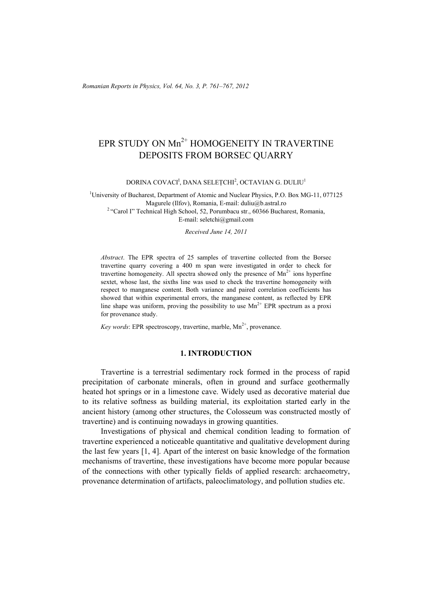*Romanian Reports in Physics, Vol. 64, No. 3, P. 761–767, 2012*

# EPR STUDY ON Mn<sup>2+</sup> HOMOGENEITY IN TRAVERTINE DEPOSITS FROM BORSEC QUARRY

DORINA COVACI<sup>I</sup>, DANA SELEȚCHI<sup>2</sup>, OCTAVIAN G. DULIU<sup>1</sup>

<sup>1</sup>University of Bucharest, Department of Atomic and Nuclear Physics, P.O. Box MG-11, 077125 Magurele (Ilfov), Romania, E-mail: duliu@b.astral.ro 2 "Carol I" Technical High School, 52, Porumbacu str., 60366 Bucharest, Romania, E-mail: seletchi@gmail.com

*Received June 14, 2011* 

*Abstract*. The EPR spectra of 25 samples of travertine collected from the Borsec travertine quarry covering a 400 m span were investigated in order to check for travertine homogeneity. All spectra showed only the presence of  $Mn^{2+}$  ions hyperfine sextet, whose last, the sixths line was used to check the travertine homogeneity with respect to manganese content. Both variance and paired correlation coefficients has showed that within experimental errors, the manganese content, as reflected by EPR line shape was uniform, proving the possibility to use  $Mn^{2+}$  EPR spectrum as a proxi for provenance study.

*Key words*: EPR spectroscopy, travertine, marble,  $Mn^{2+}$ , provenance.

# **1. INTRODUCTION**

Travertine is a terrestrial sedimentary rock formed in the process of rapid precipitation of carbonate minerals, often in ground and surface geothermally heated hot springs or in a limestone cave. Widely used as decorative material due to its relative softness as building material, its exploitation started early in the ancient history (among other structures, the Colosseum was constructed mostly of travertine) and is continuing nowadays in growing quantities.

Investigations of physical and chemical condition leading to formation of travertine experienced a noticeable quantitative and qualitative development during the last few years [1, 4]. Apart of the interest on basic knowledge of the formation mechanisms of travertine, these investigations have become more popular because of the connections with other typically fields of applied research: archaeometry, provenance determination of artifacts, paleoclimatology, and pollution studies etc.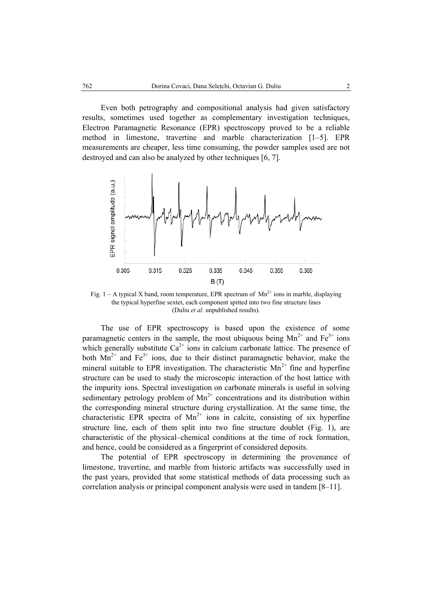Even both petrography and compositional analysis had given satisfactory results, sometimes used together as complementary investigation techniques, Electron Paramagnetic Resonance (EPR) spectroscopy proved to be a reliable method in limestone, travertine and marble characterization [1–5]. EPR measurements are cheaper, less time consuming, the powder samples used are not destroyed and can also be analyzed by other techniques [6, 7].



Fig. 1 – A typical X band, room temperature, EPR spectrum of  $Mn^{2+}$  ions in marble, displaying the typical hyperfine sextet, each component spitted into two fine structure lines (Duliu *et al.* unpublished results).

The use of EPR spectroscopy is based upon the existence of some paramagnetic centers in the sample, the most ubiquous being  $Mn^{2+}$  and  $Fe^{3+}$  ions which generally substitute  $Ca^{2+}$  ions in calcium carbonate lattice. The presence of both  $Mn^{2+}$  and Fe<sup>3+</sup> ions, due to their distinct paramagnetic behavior, make the mineral suitable to EPR investigation. The characteristic  $Mn^{2+}$  fine and hyperfine structure can be used to study the microscopic interaction of the host lattice with the impurity ions. Spectral investigation on carbonate minerals is useful in solving sedimentary petrology problem of  $Mn^{2+}$  concentrations and its distribution within the corresponding mineral structure during crystallization. At the same time, the characteristic EPR spectra of  $Mn^{2+}$  ions in calcite, consisting of six hyperfine structure line, each of them split into two fine structure doublet (Fig. 1), are characteristic of the physical–chemical conditions at the time of rock formation, and hence, could be considered as a fingerprint of considered deposits.

The potential of EPR spectroscopy in determining the provenance of limestone, travertine, and marble from historic artifacts was successfully used in the past years, provided that some statistical methods of data processing such as correlation analysis or principal component analysis were used in tandem [8–11].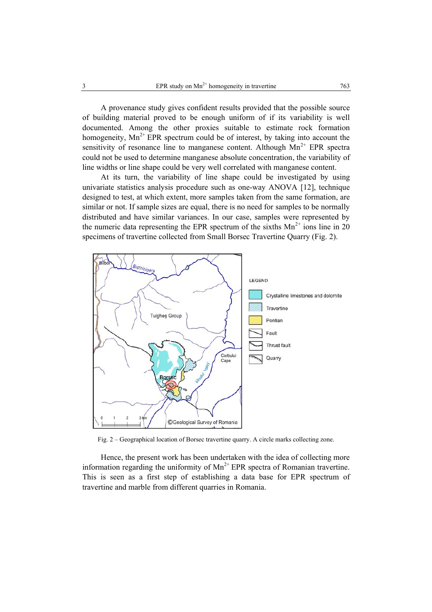A provenance study gives confident results provided that the possible source of building material proved to be enough uniform of if its variability is well documented. Among the other proxies suitable to estimate rock formation homogeneity,  $Mn^{2+}$  EPR spectrum could be of interest, by taking into account the sensitivity of resonance line to manganese content. Although  $Mn^{2+}$  EPR spectra could not be used to determine manganese absolute concentration, the variability of line widths or line shape could be very well correlated with manganese content.

At its turn, the variability of line shape could be investigated by using univariate statistics analysis procedure such as one-way ANOVA [12], technique designed to test, at which extent, more samples taken from the same formation, are similar or not. If sample sizes are equal, there is no need for samples to be normally distributed and have similar variances. In our case, samples were represented by the numeric data representing the EPR spectrum of the sixths  $Mn^{2+}$  ions line in 20 specimens of travertine collected from Small Borsec Travertine Quarry (Fig. 2).



Fig. 2 – Geographical location of Borsec travertine quarry. A circle marks collecting zone.

Hence, the present work has been undertaken with the idea of collecting more information regarding the uniformity of  $Mn^{2+}$  EPR spectra of Romanian travertine. This is seen as a first step of establishing a data base for EPR spectrum of travertine and marble from different quarries in Romania.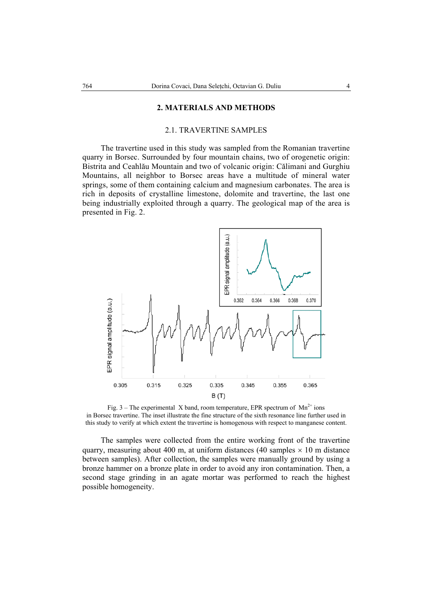### **2. MATERIALS AND METHODS**

### 2.1. TRAVERTINE SAMPLES

The travertine used in this study was sampled from the Romanian travertine quarry in Borsec. Surrounded by four mountain chains, two of orogenetic origin: Bistrita and Ceahlău Mountain and two of volcanic origin: Călimani and Gurghiu Mountains, all neighbor to Borsec areas have a multitude of mineral water springs, some of them containing calcium and magnesium carbonates. The area is rich in deposits of crystalline limestone, dolomite and travertine, the last one being industrially exploited through a quarry. The geological map of the area is presented in Fig. 2.



Fig. 3 – The experimental X band, room temperature, EPR spectrum of  $Mn^{2+}$  ions in Borsec travertine. The inset illustrate the fine structure of the sixth resonance line further used in this study to verify at which extent the travertine is homogenous with respect to manganese content.

The samples were collected from the entire working front of the travertine quarry, measuring about 400 m, at uniform distances (40 samples  $\times$  10 m distance between samples). After collection, the samples were manually ground by using a bronze hammer on a bronze plate in order to avoid any iron contamination. Then, a second stage grinding in an agate mortar was performed to reach the highest possible homogeneity.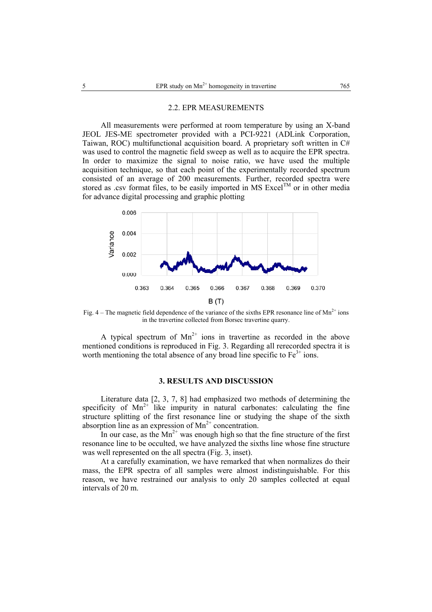#### 2.2. EPR MEASUREMENTS

All measurements were performed at room temperature by using an X-band JEOL JES-ME spectrometer provided with a PCI-9221 (ADLink Corporation, Taiwan, ROC) multifunctional acquisition board. A proprietary soft written in C# was used to control the magnetic field sweep as well as to acquire the EPR spectra. In order to maximize the signal to noise ratio, we have used the multiple acquisition technique, so that each point of the experimentally recorded spectrum consisted of an average of 200 measurements*.* Further, recorded spectra were stored as .csv format files, to be easily imported in MS Excel<sup>TM</sup> or in other media for advance digital processing and graphic plotting



Fig.  $4-$  The magnetic field dependence of the variance of the sixths EPR resonance line of Mn<sup>2+</sup> ions in the travertine collected from Borsec travertine quarry.

A typical spectrum of  $Mn^{2+}$  ions in travertine as recorded in the above mentioned conditions is reproduced in Fig. 3. Regarding all rerecorded spectra it is worth mentioning the total absence of any broad line specific to  $Fe<sup>3+</sup>$  ions.

# **3. RESULTS AND DISCUSSION**

Literature data [2, 3, 7, 8] had emphasized two methods of determining the specificity of  $Mn^{2+}$  like impurity in natural carbonates: calculating the fine structure splitting of the first resonance line or studying the shape of the sixth absorption line as an expression of  $Mn^{2+}$  concentration.

In our case, as the  $Mn^{2+}$  was enough high so that the fine structure of the first resonance line to be occulted, we have analyzed the sixths line whose fine structure was well represented on the all spectra (Fig. 3, inset).

At a carefully examination, we have remarked that when normalizes do their mass, the EPR spectra of all samples were almost indistinguishable. For this reason, we have restrained our analysis to only 20 samples collected at equal intervals of 20 m.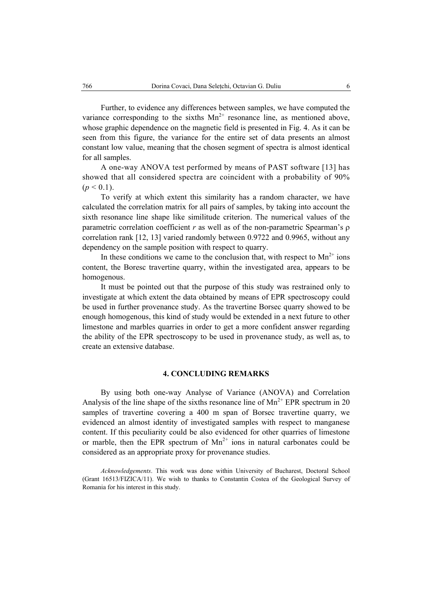Further, to evidence any differences between samples, we have computed the variance corresponding to the sixths  $Mn^{2+}$  resonance line, as mentioned above, whose graphic dependence on the magnetic field is presented in Fig. 4. As it can be seen from this figure, the variance for the entire set of data presents an almost constant low value, meaning that the chosen segment of spectra is almost identical for all samples.

A one-way ANOVA test performed by means of PAST software [13] has showed that all considered spectra are coincident with a probability of 90%  $(p < 0.1)$ .

To verify at which extent this similarity has a random character, we have calculated the correlation matrix for all pairs of samples, by taking into account the sixth resonance line shape like similitude criterion. The numerical values of the parametric correlation coefficient *r* as well as of the non-parametric Spearman's ρ correlation rank [12, 13] varied randomly between 0.9722 and 0.9965, without any dependency on the sample position with respect to quarry.

In these conditions we came to the conclusion that, with respect to  $Mn^{2+}$  ions content, the Boresc travertine quarry, within the investigated area, appears to be homogenous.

It must be pointed out that the purpose of this study was restrained only to investigate at which extent the data obtained by means of EPR spectroscopy could be used in further provenance study. As the travertine Borsec quarry showed to be enough homogenous, this kind of study would be extended in a next future to other limestone and marbles quarries in order to get a more confident answer regarding the ability of the EPR spectroscopy to be used in provenance study, as well as, to create an extensive database.

## **4. CONCLUDING REMARKS**

By using both one-way Analyse of Variance (ANOVA) and Correlation Analysis of the line shape of the sixths resonance line of  $Mn^{2+}$  EPR spectrum in 20 samples of travertine covering a 400 m span of Borsec travertine quarry, we evidenced an almost identity of investigated samples with respect to manganese content. If this peculiarity could be also evidenced for other quarries of limestone or marble, then the EPR spectrum of  $Mn^{2+}$  ions in natural carbonates could be considered as an appropriate proxy for provenance studies.

*Acknowledgements*. This work was done within University of Bucharest, Doctoral School (Grant 16513/FIZICA/11). We wish to thanks to Constantin Costea of the Geological Survey of Romania for his interest in this study.